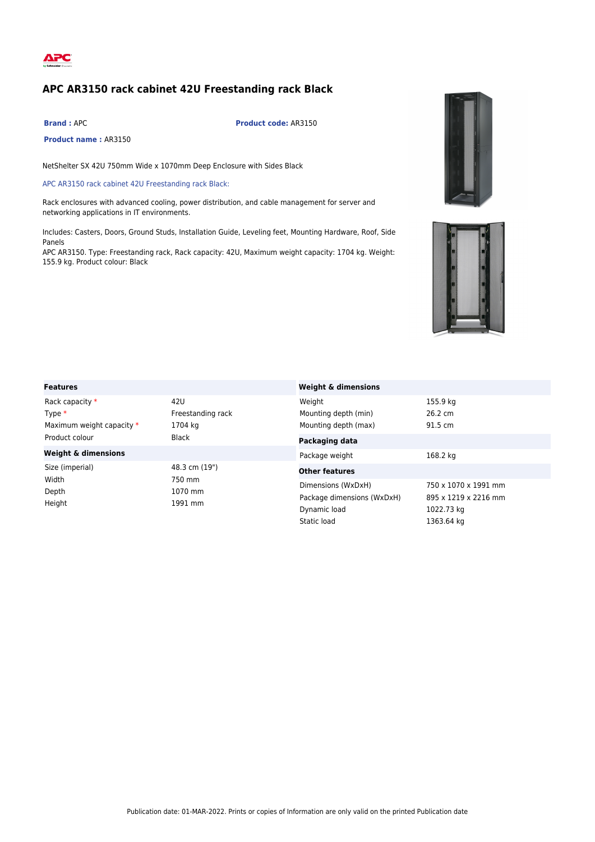

## **APC AR3150 rack cabinet 42U Freestanding rack Black**

**Product name :** AR3150

**Brand :** APC **Product code:** AR3150

NetShelter SX 42U 750mm Wide x 1070mm Deep Enclosure with Sides Black

APC AR3150 rack cabinet 42U Freestanding rack Black:

Rack enclosures with advanced cooling, power distribution, and cable management for server and networking applications in IT environments.

Includes: Casters, Doors, Ground Studs, Installation Guide, Leveling feet, Mounting Hardware, Roof, Side Panels

APC AR3150. Type: Freestanding rack, Rack capacity: 42U, Maximum weight capacity: 1704 kg. Weight: 155.9 kg. Product colour: Black





| <b>Features</b>                                                            |                                                                                 | <b>Weight &amp; dimensions</b>                                           |                                |  |
|----------------------------------------------------------------------------|---------------------------------------------------------------------------------|--------------------------------------------------------------------------|--------------------------------|--|
| Rack capacity *<br>Type $*$<br>Maximum weight capacity *<br>Product colour | 42U<br>Freestanding rack<br>1704 kg<br><b>Black</b>                             | Weight<br>Mounting depth (min)<br>Mounting depth (max)                   | 155.9 kg<br>26.2 cm<br>91.5 cm |  |
| <b>Weight &amp; dimensions</b>                                             |                                                                                 | Packaging data<br>Package weight                                         | 168.2 kg                       |  |
| Size (imperial)<br>Width                                                   | 48.3 cm (19")<br>750 mm                                                         | <b>Other features</b>                                                    |                                |  |
| Depth<br>1070 mm<br>Height<br>1991 mm                                      | Dimensions (WxDxH)<br>Package dimensions (WxDxH)<br>Dynamic load<br>Static load | 750 x 1070 x 1991 mm<br>895 x 1219 x 2216 mm<br>1022.73 kg<br>1363.64 ka |                                |  |